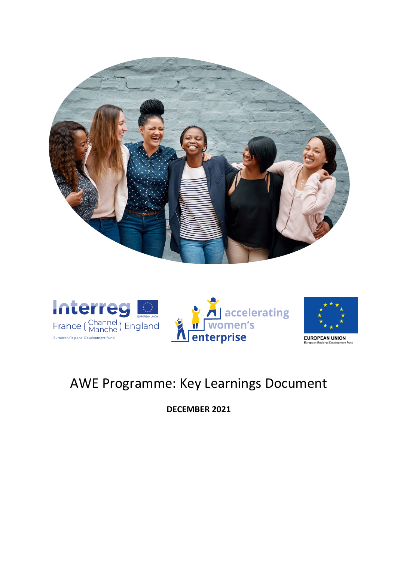







**EUROPEAN UNION** .<br>\* Euro

## AWE Programme: Key Learnings Document

**DECEMBER 2021**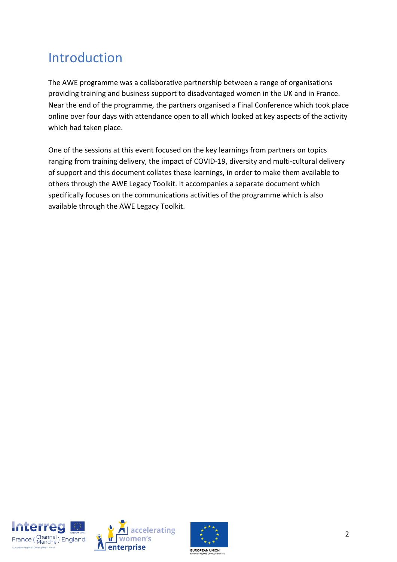# Introduction

The AWE programme was a collaborative partnership between a range of organisations providing training and business support to disadvantaged women in the UK and in France. Near the end of the programme, the partners organised a Final Conference which took place online over four days with attendance open to all which looked at key aspects of the activity which had taken place.

One of the sessions at this event focused on the key learnings from partners on topics ranging from training delivery, the impact of COVID-19, diversity and multi-cultural delivery of support and this document collates these learnings, in order to make them available to others through the AWE Legacy Toolkit. It accompanies a separate document which specifically focuses on the communications activities of the programme which is also available through the AWE Legacy Toolkit.





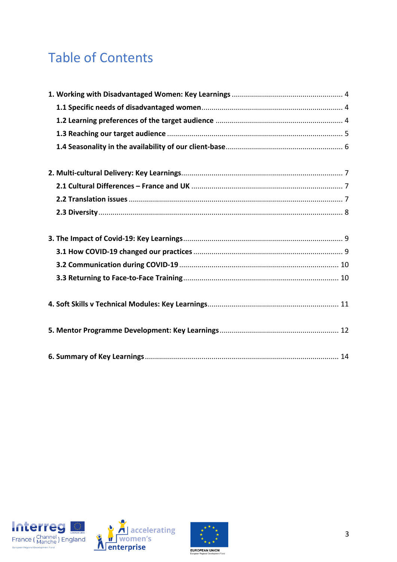# **Table of Contents**





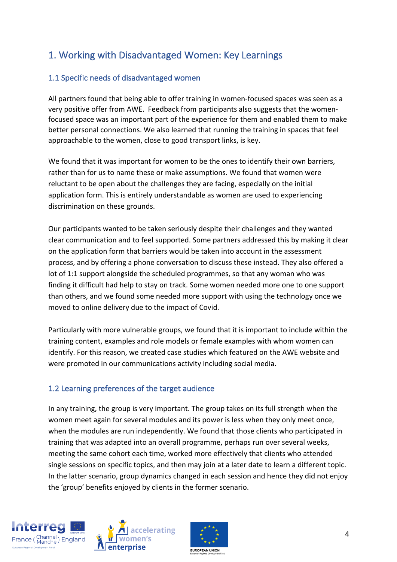## 1. Working with Disadvantaged Women: Key Learnings

#### 1.1 Specific needs of disadvantaged women

All partners found that being able to offer training in women-focused spaces was seen as a very positive offer from AWE. Feedback from participants also suggests that the womenfocused space was an important part of the experience for them and enabled them to make better personal connections. We also learned that running the training in spaces that feel approachable to the women, close to good transport links, is key.

We found that it was important for women to be the ones to identify their own barriers, rather than for us to name these or make assumptions. We found that women were reluctant to be open about the challenges they are facing, especially on the initial application form. This is entirely understandable as women are used to experiencing discrimination on these grounds.

Our participants wanted to be taken seriously despite their challenges and they wanted clear communication and to feel supported. Some partners addressed this by making it clear on the application form that barriers would be taken into account in the assessment process, and by offering a phone conversation to discuss these instead. They also offered a lot of 1:1 support alongside the scheduled programmes, so that any woman who was finding it difficult had help to stay on track. Some women needed more one to one support than others, and we found some needed more support with using the technology once we moved to online delivery due to the impact of Covid.

Particularly with more vulnerable groups, we found that it is important to include within the training content, examples and role models or female examples with whom women can identify. For this reason, we created case studies which featured on the AWE website and were promoted in our communications activity including social media.

#### 1.2 Learning preferences of the target audience

In any training, the group is very important. The group takes on its full strength when the women meet again for several modules and its power is less when they only meet once, when the modules are run independently. We found that those clients who participated in training that was adapted into an overall programme, perhaps run over several weeks, meeting the same cohort each time, worked more effectively that clients who attended single sessions on specific topics, and then may join at a later date to learn a different topic. In the latter scenario, group dynamics changed in each session and hence they did not enjoy the 'group' benefits enjoyed by clients in the former scenario.





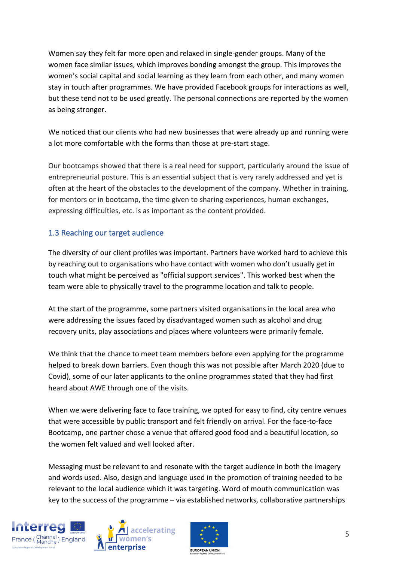Women say they felt far more open and relaxed in single-gender groups. Many of the women face similar issues, which improves bonding amongst the group. This improves the women's social capital and social learning as they learn from each other, and many women stay in touch after programmes. We have provided Facebook groups for interactions as well, but these tend not to be used greatly. The personal connections are reported by the women as being stronger.

We noticed that our clients who had new businesses that were already up and running were a lot more comfortable with the forms than those at pre-start stage.

Our bootcamps showed that there is a real need for support, particularly around the issue of entrepreneurial posture. This is an essential subject that is very rarely addressed and yet is often at the heart of the obstacles to the development of the company. Whether in training, for mentors or in bootcamp, the time given to sharing experiences, human exchanges, expressing difficulties, etc. is as important as the content provided.

#### 1.3 Reaching our target audience

The diversity of our client profiles was important. Partners have worked hard to achieve this by reaching out to organisations who have contact with women who don't usually get in touch what might be perceived as "official support services". This worked best when the team were able to physically travel to the programme location and talk to people.

At the start of the programme, some partners visited organisations in the local area who were addressing the issues faced by disadvantaged women such as alcohol and drug recovery units, play associations and places where volunteers were primarily female.

We think that the chance to meet team members before even applying for the programme helped to break down barriers. Even though this was not possible after March 2020 (due to Covid), some of our later applicants to the online programmes stated that they had first heard about AWE through one of the visits.

When we were delivering face to face training, we opted for easy to find, city centre venues that were accessible by public transport and felt friendly on arrival. For the face-to-face Bootcamp, one partner chose a venue that offered good food and a beautiful location, so the women felt valued and well looked after.

Messaging must be relevant to and resonate with the target audience in both the imagery and words used. Also, design and language used in the promotion of training needed to be relevant to the local audience which it was targeting. Word of mouth communication was key to the success of the programme – via established networks, collaborative partnerships





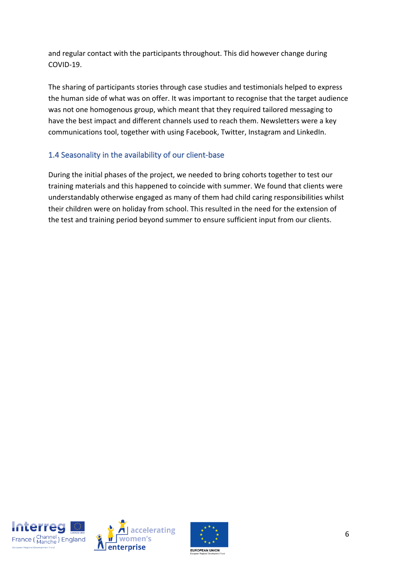and regular contact with the participants throughout. This did however change during COVID-19.

The sharing of participants stories through case studies and testimonials helped to express the human side of what was on offer. It was important to recognise that the target audience was not one homogenous group, which meant that they required tailored messaging to have the best impact and different channels used to reach them. Newsletters were a key communications tool, together with using Facebook, Twitter, Instagram and LinkedIn.

#### 1.4 Seasonality in the availability of our client-base

During the initial phases of the project, we needed to bring cohorts together to test our training materials and this happened to coincide with summer. We found that clients were understandably otherwise engaged as many of them had child caring responsibilities whilst their children were on holiday from school. This resulted in the need for the extension of the test and training period beyond summer to ensure sufficient input from our clients.





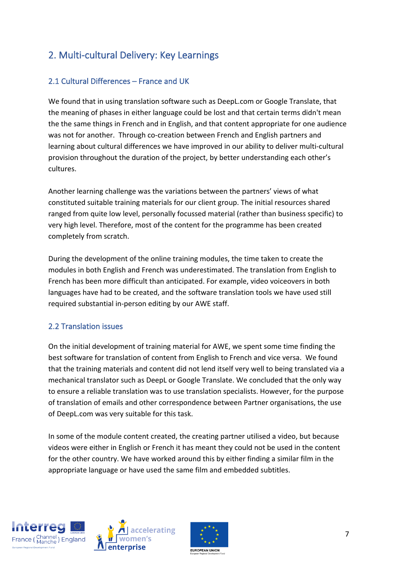## 2. Multi-cultural Delivery: Key Learnings

#### 2.1 Cultural Differences – France and UK

We found that in using translation software such as DeepL.com or Google Translate, that the meaning of phases in either language could be lost and that certain terms didn't mean the the same things in French and in English, and that content appropriate for one audience was not for another. Through co-creation between French and English partners and learning about cultural differences we have improved in our ability to deliver multi-cultural provision throughout the duration of the project, by better understanding each other's cultures.

Another learning challenge was the variations between the partners' views of what constituted suitable training materials for our client group. The initial resources shared ranged from quite low level, personally focussed material (rather than business specific) to very high level. Therefore, most of the content for the programme has been created completely from scratch.

During the development of the online training modules, the time taken to create the modules in both English and French was underestimated. The translation from English to French has been more difficult than anticipated. For example, video voiceovers in both languages have had to be created, and the software translation tools we have used still required substantial in-person editing by our AWE staff.

#### 2.2 Translation issues

On the initial development of training material for AWE, we spent some time finding the best software for translation of content from English to French and vice versa. We found that the training materials and content did not lend itself very well to being translated via a mechanical translator such as DeepL or Google Translate. We concluded that the only way to ensure a reliable translation was to use translation specialists. However, for the purpose of translation of emails and other correspondence between Partner organisations, the use of DeepL.com was very suitable for this task.

In some of the module content created, the creating partner utilised a video, but because videos were either in English or French it has meant they could not be used in the content for the other country. We have worked around this by either finding a similar film in the appropriate language or have used the same film and embedded subtitles.





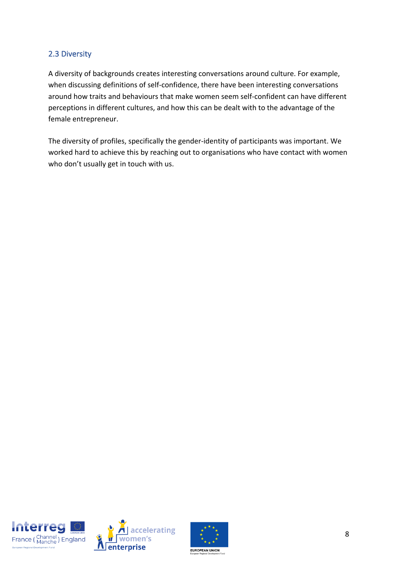#### 2.3 Diversity

A diversity of backgrounds creates interesting conversations around culture. For example, when discussing definitions of self-confidence, there have been interesting conversations around how traits and behaviours that make women seem self-confident can have different perceptions in different cultures, and how this can be dealt with to the advantage of the female entrepreneur.

The diversity of profiles, specifically the gender-identity of participants was important. We worked hard to achieve this by reaching out to organisations who have contact with women who don't usually get in touch with us.





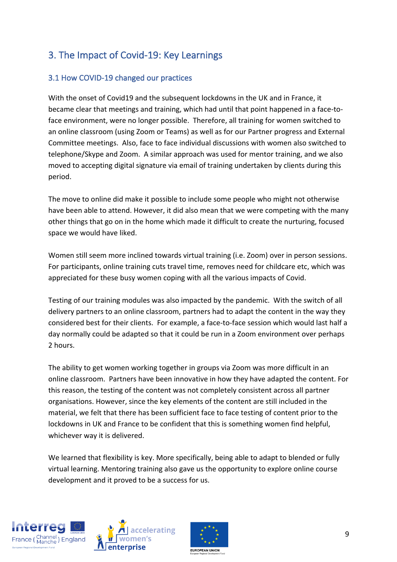## 3. The Impact of Covid-19: Key Learnings

#### 3.1 How COVID-19 changed our practices

With the onset of Covid19 and the subsequent lockdowns in the UK and in France, it became clear that meetings and training, which had until that point happened in a face-toface environment, were no longer possible. Therefore, all training for women switched to an online classroom (using Zoom or Teams) as well as for our Partner progress and External Committee meetings. Also, face to face individual discussions with women also switched to telephone/Skype and Zoom. A similar approach was used for mentor training, and we also moved to accepting digital signature via email of training undertaken by clients during this period.

The move to online did make it possible to include some people who might not otherwise have been able to attend. However, it did also mean that we were competing with the many other things that go on in the home which made it difficult to create the nurturing, focused space we would have liked.

Women still seem more inclined towards virtual training (i.e. Zoom) over in person sessions. For participants, online training cuts travel time, removes need for childcare etc, which was appreciated for these busy women coping with all the various impacts of Covid.

Testing of our training modules was also impacted by the pandemic. With the switch of all delivery partners to an online classroom, partners had to adapt the content in the way they considered best for their clients. For example, a face-to-face session which would last half a day normally could be adapted so that it could be run in a Zoom environment over perhaps 2 hours.

The ability to get women working together in groups via Zoom was more difficult in an online classroom. Partners have been innovative in how they have adapted the content. For this reason, the testing of the content was not completely consistent across all partner organisations. However, since the key elements of the content are still included in the material, we felt that there has been sufficient face to face testing of content prior to the lockdowns in UK and France to be confident that this is something women find helpful, whichever way it is delivered.

We learned that flexibility is key. More specifically, being able to adapt to blended or fully virtual learning. Mentoring training also gave us the opportunity to explore online course development and it proved to be a success for us.





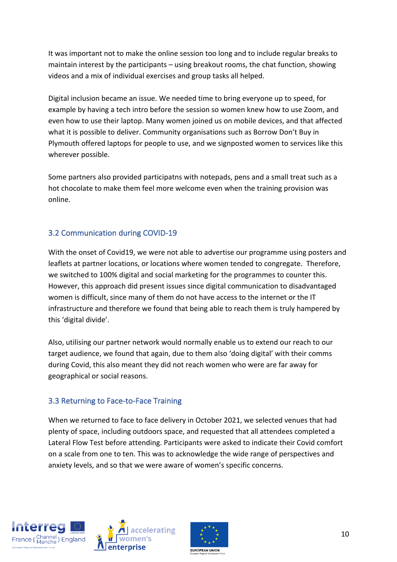It was important not to make the online session too long and to include regular breaks to maintain interest by the participants – using breakout rooms, the chat function, showing videos and a mix of individual exercises and group tasks all helped.

Digital inclusion became an issue. We needed time to bring everyone up to speed, for example by having a tech intro before the session so women knew how to use Zoom, and even how to use their laptop. Many women joined us on mobile devices, and that affected what it is possible to deliver. Community organisations such as Borrow Don't Buy in Plymouth offered laptops for people to use, and we signposted women to services like this wherever possible.

Some partners also provided participatns with notepads, pens and a small treat such as a hot chocolate to make them feel more welcome even when the training provision was online.

#### 3.2 Communication during COVID-19

With the onset of Covid19, we were not able to advertise our programme using posters and leaflets at partner locations, or locations where women tended to congregate. Therefore, we switched to 100% digital and social marketing for the programmes to counter this. However, this approach did present issues since digital communication to disadvantaged women is difficult, since many of them do not have access to the internet or the IT infrastructure and therefore we found that being able to reach them is truly hampered by this 'digital divide'.

Also, utilising our partner network would normally enable us to extend our reach to our target audience, we found that again, due to them also 'doing digital' with their comms during Covid, this also meant they did not reach women who were are far away for geographical or social reasons.

#### 3.3 Returning to Face-to-Face Training

When we returned to face to face delivery in October 2021, we selected venues that had plenty of space, including outdoors space, and requested that all attendees completed a Lateral Flow Test before attending. Participants were asked to indicate their Covid comfort on a scale from one to ten. This was to acknowledge the wide range of perspectives and anxiety levels, and so that we were aware of women's specific concerns.





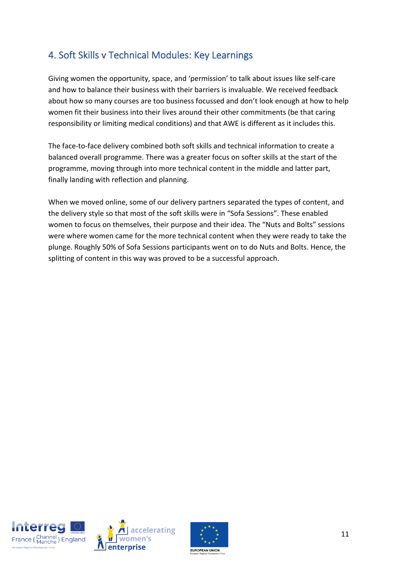## 4. Soft Skills v Technical Modules: Key Learnings

Giving women the opportunity, space, and 'permission' to talk about issues like self-care and how to balance their business with their barriers is invaluable. We received feedback about how so many courses are too business focussed and don't look enough at how to help women fit their business into their lives around their other commitments (be that caring responsibility or limiting medical conditions) and that AWE is different as it includes this.

The face-to-face delivery combined both soft skills and technical information to create a balanced overall programme. There was a greater focus on softer skills at the start of the programme, moving through into more technical content in the middle and latter part, finally landing with reflection and planning.

When we moved online, some of our delivery partners separated the types of content, and the delivery style so that most of the soft skills were in "Sofa Sessions". These enabled women to focus on themselves, their purpose and their idea. The "Nuts and Bolts" sessions were where women came for the more technical content when they were ready to take the plunge. Roughly 50% of Sofa Sessions participants went on to do Nuts and Bolts. Hence, the splitting of content in this way was proved to be a successful approach.





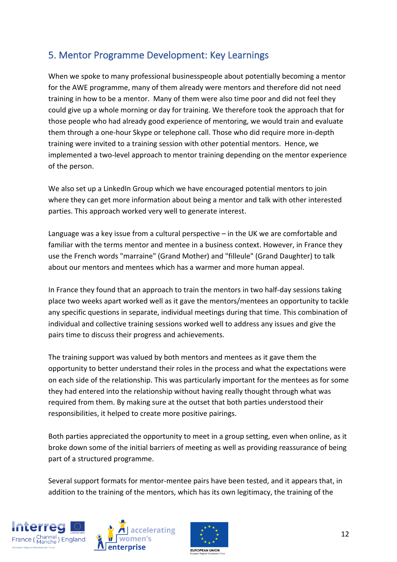## 5. Mentor Programme Development: Key Learnings

When we spoke to many professional businesspeople about potentially becoming a mentor for the AWE programme, many of them already were mentors and therefore did not need training in how to be a mentor. Many of them were also time poor and did not feel they could give up a whole morning or day for training. We therefore took the approach that for those people who had already good experience of mentoring, we would train and evaluate them through a one-hour Skype or telephone call. Those who did require more in-depth training were invited to a training session with other potential mentors. Hence, we implemented a two-level approach to mentor training depending on the mentor experience of the person.

We also set up a LinkedIn Group which we have encouraged potential mentors to join where they can get more information about being a mentor and talk with other interested parties. This approach worked very well to generate interest.

Language was a key issue from a cultural perspective – in the UK we are comfortable and familiar with the terms mentor and mentee in a business context. However, in France they use the French words "marraine" (Grand Mother) and "filleule" (Grand Daughter) to talk about our mentors and mentees which has a warmer and more human appeal.

In France they found that an approach to train the mentors in two half-day sessions taking place two weeks apart worked well as it gave the mentors/mentees an opportunity to tackle any specific questions in separate, individual meetings during that time. This combination of individual and collective training sessions worked well to address any issues and give the pairs time to discuss their progress and achievements.

The training support was valued by both mentors and mentees as it gave them the opportunity to better understand their roles in the process and what the expectations were on each side of the relationship. This was particularly important for the mentees as for some they had entered into the relationship without having really thought through what was required from them. By making sure at the outset that both parties understood their responsibilities, it helped to create more positive pairings.

Both parties appreciated the opportunity to meet in a group setting, even when online, as it broke down some of the initial barriers of meeting as well as providing reassurance of being part of a structured programme.

Several support formats for mentor-mentee pairs have been tested, and it appears that, in addition to the training of the mentors, which has its own legitimacy, the training of the





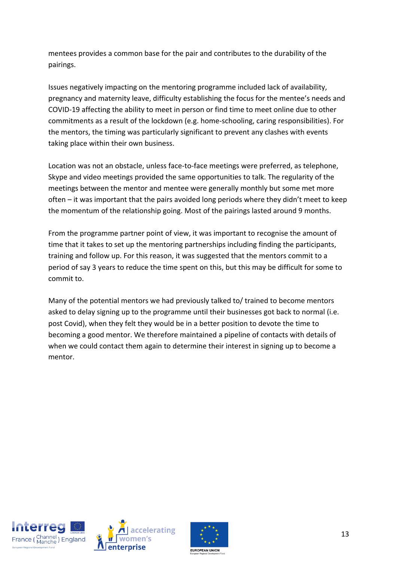mentees provides a common base for the pair and contributes to the durability of the pairings.

Issues negatively impacting on the mentoring programme included lack of availability, pregnancy and maternity leave, difficulty establishing the focus for the mentee's needs and COVID-19 affecting the ability to meet in person or find time to meet online due to other commitments as a result of the lockdown (e.g. home-schooling, caring responsibilities). For the mentors, the timing was particularly significant to prevent any clashes with events taking place within their own business.

Location was not an obstacle, unless face-to-face meetings were preferred, as telephone, Skype and video meetings provided the same opportunities to talk. The regularity of the meetings between the mentor and mentee were generally monthly but some met more often – it was important that the pairs avoided long periods where they didn't meet to keep the momentum of the relationship going. Most of the pairings lasted around 9 months.

From the programme partner point of view, it was important to recognise the amount of time that it takes to set up the mentoring partnerships including finding the participants, training and follow up. For this reason, it was suggested that the mentors commit to a period of say 3 years to reduce the time spent on this, but this may be difficult for some to commit to.

Many of the potential mentors we had previously talked to/ trained to become mentors asked to delay signing up to the programme until their businesses got back to normal (i.e. post Covid), when they felt they would be in a better position to devote the time to becoming a good mentor. We therefore maintained a pipeline of contacts with details of when we could contact them again to determine their interest in signing up to become a mentor.